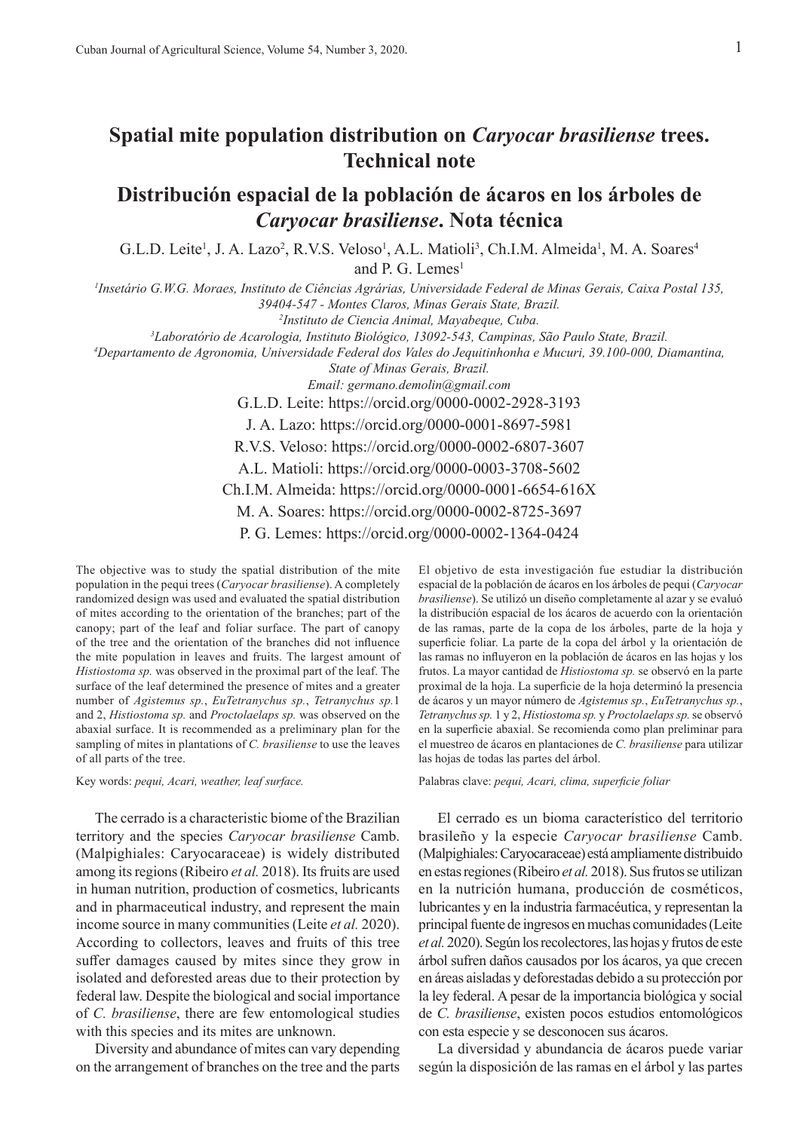## **Spatial mite population distribution on** *Caryocar brasiliense* **trees. Technical note**

## **Distribución espacial de la población de ácaros en los árboles de**  *Caryocar brasiliense***. Nota técnica**

G.L.D. Leite<sup>1</sup>, J. A. Lazo<sup>2</sup>, R.V.S. Veloso<sup>1</sup>, A.L. Matioli<sup>3</sup>, Ch.I.M. Almeida<sup>1</sup>, M. A. Soares<sup>4</sup> and P. G. Lemes<sup>1</sup>

*1 Insetário G.W.G. Moraes, Instituto de Ciências Agrárias, Universidade Federal de Minas Gerais, Caixa Postal 135, 39404-547 - Montes Claros, Minas Gerais State, Brazil.*

*2 Instituto de Ciencia Animal, Mayabeque, Cuba.*

*3 Laboratório de Acarologia, Instituto Biológico, 13092-543, Campinas, São Paulo State, Brazil.*

*4 Departamento de Agronomia, Universidade Federal dos Vales do Jequitinhonha e Mucuri, 39.100-000, Diamantina,* 

*State of Minas Gerais, Brazil.*

*Email: germano.demolin@gmail.com*

G.L.D. Leite: https://orcid.org/0000-0002-2928-3193

J. A. Lazo: https://orcid.org/0000-0001-8697-5981

R.V.S. Veloso: https://orcid.org/0000-0002-6807-3607

A.L. Matioli: https://orcid.org/0000-0003-3708-5602

Ch.I.M. Almeida: https://orcid.org/0000-0001-6654-616X

M. A. Soares: https://orcid.org/0000-0002-8725-3697

P. G. Lemes: https://orcid.org/0000-0002-1364-0424

The objective was to study the spatial distribution of the mite population in the pequi trees (*Caryocar brasiliense*). A completely randomized design was used and evaluated the spatial distribution of mites according to the orientation of the branches; part of the canopy; part of the leaf and foliar surface. The part of canopy of the tree and the orientation of the branches did not influence the mite population in leaves and fruits. The largest amount of *Histiostoma sp.* was observed in the proximal part of the leaf. The surface of the leaf determined the presence of mites and a greater number of *Agistemus sp.*, *EuTetranychus sp.*, *Tetranychus sp.*1 and 2, *Histiostoma sp.* and *Proctolaelaps sp.* was observed on the abaxial surface. It is recommended as a preliminary plan for the sampling of mites in plantations of *C. brasiliense* to use the leaves of all parts of the tree.

Key words: *pequi, Acari, weather, leaf surface.*

The cerrado is a characteristic biome of the Brazilian territory and the species *Caryocar brasiliense* Camb. (Malpighiales: Caryocaraceae) is widely distributed among its regions (Ribeiro *et al.* 2018). Its fruits are used in human nutrition, production of cosmetics, lubricants and in pharmaceutical industry, and represent the main income source in many communities (Leite *et al.* 2020). According to collectors, leaves and fruits of this tree suffer damages caused by mites since they grow in isolated and deforested areas due to their protection by federal law. Despite the biological and social importance of *C. brasiliense*, there are few entomological studies with this species and its mites are unknown.

Diversity and abundance of mites can vary depending on the arrangement of branches on the tree and the parts

El objetivo de esta investigación fue estudiar la distribución espacial de la población de ácaros en los árboles de pequi (*Caryocar brasiliense*). Se utilizó un diseño completamente al azar y se evaluó la distribución espacial de los ácaros de acuerdo con la orientación de las ramas, parte de la copa de los árboles, parte de la hoja y superficie foliar. La parte de la copa del árbol y la orientación de las ramas no influyeron en la población de ácaros en las hojas y los frutos. La mayor cantidad de *Histiostoma sp.* se observó en la parte proximal de la hoja. La superficie de la hoja determinó la presencia de ácaros y un mayor número de *Agistemus sp.*, *EuTetranychus sp.*, *Tetranychus sp.* 1 y 2, *Histiostoma sp.* y *Proctolaelaps sp.* se observó en la superficie abaxial. Se recomienda como plan preliminar para el muestreo de ácaros en plantaciones de *C. brasiliense* para utilizar las hojas de todas las partes del árbol.

Palabras clave: *pequi, Acari, clima, superficie foliar*

El cerrado es un bioma característico del territorio brasileño y la especie *Caryocar brasiliense* Camb. (Malpighiales: Caryocaraceae) está ampliamente distribuido en estas regiones (Ribeiro *et al.* 2018). Sus frutos se utilizan en la nutrición humana, producción de cosméticos, lubricantes y en la industria farmacéutica, y representan la principal fuente de ingresos en muchas comunidades (Leite *et al.* 2020). Según los recolectores, las hojas y frutos de este árbol sufren daños causados por los ácaros, ya que crecen en áreas aisladas y deforestadas debido a su protección por la ley federal. A pesar de la importancia biológica y social de *C. brasiliense*, existen pocos estudios entomológicos con esta especie y se desconocen sus ácaros.

La diversidad y abundancia de ácaros puede variar según la disposición de las ramas en el árbol y las partes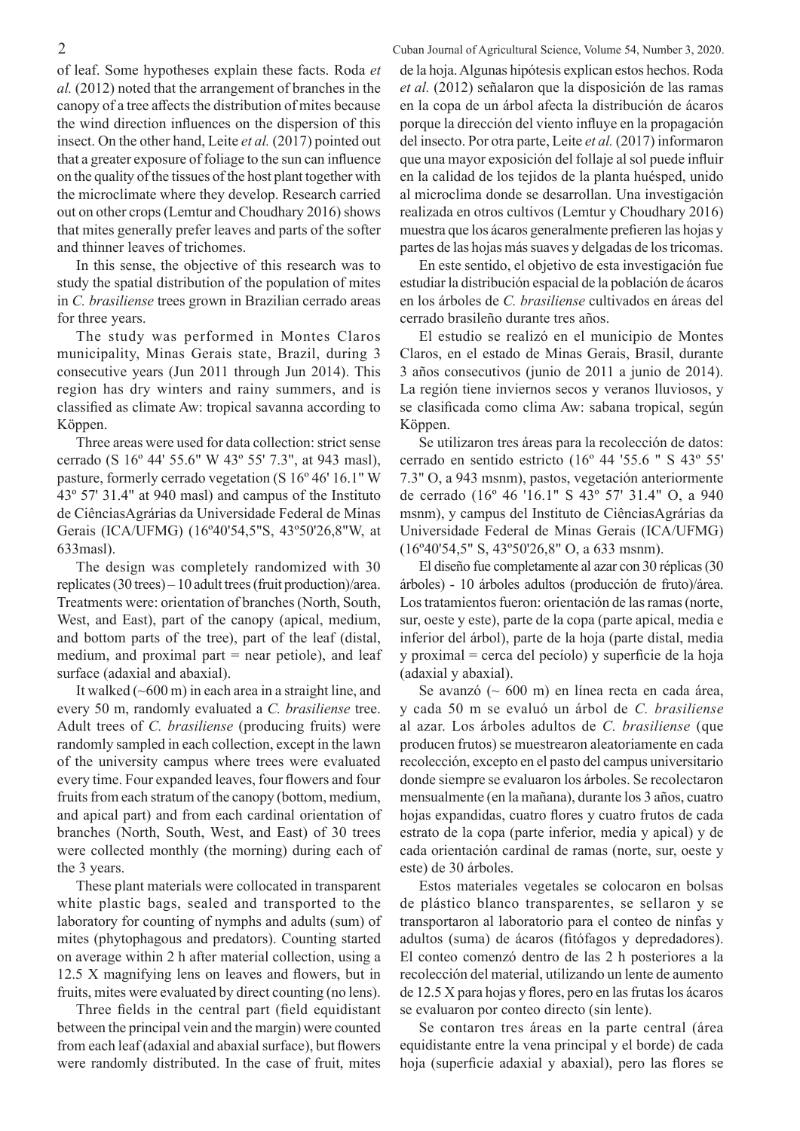of leaf. Some hypotheses explain these facts. Roda *et al.* (2012) noted that the arrangement of branches in the canopy of a tree affects the distribution of mites because the wind direction influences on the dispersion of this insect. On the other hand, Leite *et al.* (2017) pointed out that a greater exposure of foliage to the sun can influence on the quality of the tissues of the host plant together with the microclimate where they develop. Research carried out on other crops (Lemtur and Choudhary 2016) shows that mites generally prefer leaves and parts of the softer and thinner leaves of trichomes.

In this sense, the objective of this research was to study the spatial distribution of the population of mites in *C. brasiliense* trees grown in Brazilian cerrado areas for three years.

The study was performed in Montes Claros municipality, Minas Gerais state, Brazil, during 3 consecutive years (Jun 2011 through Jun 2014). This region has dry winters and rainy summers, and is classified as climate Aw: tropical savanna according to Köppen.

Three areas were used for data collection: strict sense cerrado (S 16º 44' 55.6" W 43º 55' 7.3", at 943 masl), pasture, formerly cerrado vegetation (S 16º 46' 16.1" W 43º 57' 31.4" at 940 masl) and campus of the Instituto de CiênciasAgrárias da Universidade Federal de Minas Gerais (ICA/UFMG) (16º40'54,5"S, 43º50'26,8"W, at 633masl).

The design was completely randomized with 30 replicates (30 trees) – 10 adult trees (fruit production)/area. Treatments were: orientation of branches (North, South, West, and East), part of the canopy (apical, medium, and bottom parts of the tree), part of the leaf (distal, medium, and proximal part  $=$  near petiole), and leaf surface (adaxial and abaxial).

It walked  $(\sim 600 \text{ m})$  in each area in a straight line, and every 50 m, randomly evaluated a *C. brasiliense* tree. Adult trees of *C. brasiliense* (producing fruits) were randomly sampled in each collection, except in the lawn of the university campus where trees were evaluated every time. Four expanded leaves, four flowers and four fruits from each stratum of the canopy (bottom, medium, and apical part) and from each cardinal orientation of branches (North, South, West, and East) of 30 trees were collected monthly (the morning) during each of the 3 years.

These plant materials were collocated in transparent white plastic bags, sealed and transported to the laboratory for counting of nymphs and adults (sum) of mites (phytophagous and predators). Counting started on average within 2 h after material collection, using a 12.5 X magnifying lens on leaves and flowers, but in fruits, mites were evaluated by direct counting (no lens).

Three fields in the central part (field equidistant between the principal vein and the margin) were counted from each leaf (adaxial and abaxial surface), but flowers were randomly distributed. In the case of fruit, mites

2 Cuban Journal of Agricultural Science, Volume 54, Number 3, 2020. de la hoja. Algunas hipótesis explican estos hechos. Roda *et al.* (2012) señalaron que la disposición de las ramas en la copa de un árbol afecta la distribución de ácaros porque la dirección del viento influye en la propagación del insecto. Por otra parte, Leite *et al.* (2017) informaron que una mayor exposición del follaje al sol puede influir en la calidad de los tejidos de la planta huésped, unido al microclima donde se desarrollan. Una investigación realizada en otros cultivos (Lemtur y Choudhary 2016) muestra que los ácaros generalmente prefieren las hojas y partes de las hojas más suaves y delgadas de los tricomas.

> En este sentido, el objetivo de esta investigación fue estudiar la distribución espacial de la población de ácaros en los árboles de *C. brasiliense* cultivados en áreas del cerrado brasileño durante tres años.

> El estudio se realizó en el municipio de Montes Claros, en el estado de Minas Gerais, Brasil, durante 3 años consecutivos (junio de 2011 a junio de 2014). La región tiene inviernos secos y veranos lluviosos, y se clasificada como clima Aw: sabana tropical, según Köppen.

> Se utilizaron tres áreas para la recolección de datos: cerrado en sentido estricto (16º 44 '55.6 " S 43º 55' 7.3" O, a 943 msnm), pastos, vegetación anteriormente de cerrado (16º 46 '16.1" S 43º 57' 31.4" O, a 940 msnm), y campus del Instituto de CiênciasAgrárias da Universidade Federal de Minas Gerais (ICA/UFMG) (16º40'54,5" S, 43º50'26,8" O, a 633 msnm).

> El diseño fue completamente al azar con 30 réplicas (30 árboles) - 10 árboles adultos (producción de fruto)/área. Los tratamientos fueron: orientación de las ramas (norte, sur, oeste y este), parte de la copa (parte apical, media e inferior del árbol), parte de la hoja (parte distal, media y proximal = cerca del pecíolo) y superficie de la hoja (adaxial y abaxial).

> Se avanzó  $(~600~\text{m})$  en línea recta en cada área, y cada 50 m se evaluó un árbol de *C. brasiliense* al azar. Los árboles adultos de *C. brasiliense* (que producen frutos) se muestrearon aleatoriamente en cada recolección, excepto en el pasto del campus universitario donde siempre se evaluaron los árboles. Se recolectaron mensualmente (en la mañana), durante los 3 años, cuatro hojas expandidas, cuatro flores y cuatro frutos de cada estrato de la copa (parte inferior, media y apical) y de cada orientación cardinal de ramas (norte, sur, oeste y este) de 30 árboles.

> Estos materiales vegetales se colocaron en bolsas de plástico blanco transparentes, se sellaron y se transportaron al laboratorio para el conteo de ninfas y adultos (suma) de ácaros (fitófagos y depredadores). El conteo comenzó dentro de las 2 h posteriores a la recolección del material, utilizando un lente de aumento de 12.5 X para hojas y flores, pero en las frutas los ácaros se evaluaron por conteo directo (sin lente).

> Se contaron tres áreas en la parte central (área equidistante entre la vena principal y el borde) de cada hoja (superficie adaxial y abaxial), pero las flores se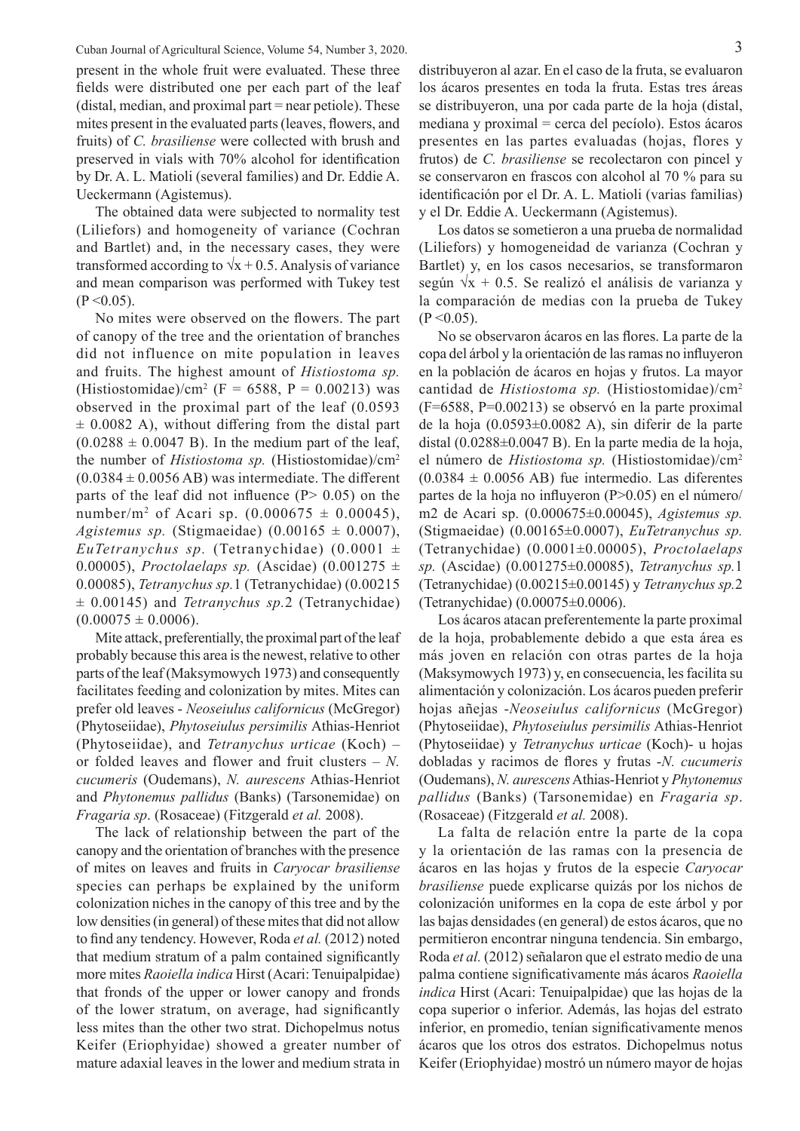Cuban Journal of Agricultural Science, Volume 54, Number 3, 2020. 3 present in the whole fruit were evaluated. These three fields were distributed one per each part of the leaf (distal, median, and proximal part = near petiole). These mites present in the evaluated parts (leaves, flowers, and fruits) of *C. brasiliense* were collected with brush and preserved in vials with 70% alcohol for identification by Dr. A. L. Matioli (several families) and Dr. Eddie A. Ueckermann (Agistemus).

The obtained data were subjected to normality test (Liliefors) and homogeneity of variance (Cochran and Bartlet) and, in the necessary cases, they were transformed according to  $\sqrt{x} + 0.5$ . Analysis of variance and mean comparison was performed with Tukey test  $(P < 0.05)$ .

No mites were observed on the flowers. The part of canopy of the tree and the orientation of branches did not influence on mite population in leaves and fruits. The highest amount of *Histiostoma sp.* (Histiostomidae)/cm<sup>2</sup> (F = 6588, P = 0.00213) was observed in the proximal part of the leaf (0.0593  $\pm$  0.0082 A), without differing from the distal part  $(0.0288 \pm 0.0047 \text{ B})$ . In the medium part of the leaf, the number of *Histiostoma sp.* (Histiostomidae)/cm2  $(0.0384 \pm 0.0056 \text{ AB})$  was intermediate. The different parts of the leaf did not influence  $(P> 0.05)$  on the number/m<sup>2</sup> of Acari sp.  $(0.000675 \pm 0.00045)$ , *Agistemus sp.* (Stigmaeidae)  $(0.00165 \pm 0.0007)$ , *EuTetranychus sp.* (Tetranychidae)  $(0.0001 \pm$ 0.00005), *Proctolaelaps sp.* (Ascidae)  $(0.001275 \pm 1.000005)$ 0.00085), *Tetranychus sp.*1 (Tetranychidae) (0.00215 ± 0.00145) and *Tetranychus sp.*2 (Tetranychidae)  $(0.00075 \pm 0.0006).$ 

Mite attack, preferentially, the proximal part of the leaf probably because this area is the newest, relative to other parts of the leaf (Maksymowych 1973) and consequently facilitates feeding and colonization by mites. Mites can prefer old leaves - *Neoseiulus californicus* (McGregor) (Phytoseiidae), *Phytoseiulus persimilis* Athias-Henriot (Phytoseiidae), and *Tetranychus urticae* (Koch) – or folded leaves and flower and fruit clusters – *N. cucumeris* (Oudemans), *N. aurescens* Athias-Henriot and *Phytonemus pallidus* (Banks) (Tarsonemidae) on *Fragaria sp*. (Rosaceae) (Fitzgerald *et al.* 2008).

The lack of relationship between the part of the canopy and the orientation of branches with the presence of mites on leaves and fruits in *Caryocar brasiliense* species can perhaps be explained by the uniform colonization niches in the canopy of this tree and by the low densities (in general) of these mites that did not allow to find any tendency. However, Roda *et al.* (2012) noted that medium stratum of a palm contained significantly more mites *Raoiella indica* Hirst (Acari: Tenuipalpidae) that fronds of the upper or lower canopy and fronds of the lower stratum, on average, had significantly less mites than the other two strat. Dichopelmus notus Keifer (Eriophyidae) showed a greater number of mature adaxial leaves in the lower and medium strata in

distribuyeron al azar. En el caso de la fruta, se evaluaron los ácaros presentes en toda la fruta. Estas tres áreas se distribuyeron, una por cada parte de la hoja (distal, mediana y proximal = cerca del pecíolo). Estos ácaros presentes en las partes evaluadas (hojas, flores y frutos) de *C. brasiliense* se recolectaron con pincel y se conservaron en frascos con alcohol al 70 % para su identificación por el Dr. A. L. Matioli (varias familias) y el Dr. Eddie A. Ueckermann (Agistemus).

Los datos se sometieron a una prueba de normalidad (Liliefors) y homogeneidad de varianza (Cochran y Bartlet) y, en los casos necesarios, se transformaron según  $\sqrt{x}$  + 0.5. Se realizó el análisis de varianza y la comparación de medias con la prueba de Tukey  $(P < 0.05)$ .

No se observaron ácaros en las flores. La parte de la copa del árbol y la orientación de las ramas no influyeron en la población de ácaros en hojas y frutos. La mayor cantidad de *Histiostoma sp.* (Histiostomidae)/cm2 (F=6588, P=0.00213) se observó en la parte proximal de la hoja (0.0593±0.0082 A), sin diferir de la parte distal (0.0288±0.0047 B). En la parte media de la hoja, el número de *Histiostoma sp.* (Histiostomidae)/cm2  $(0.0384 \pm 0.0056$  AB) fue intermedio. Las diferentes partes de la hoja no influyeron (P>0.05) en el número/ m2 de Acari sp. (0.000675±0.00045), *Agistemus sp.* (Stigmaeidae) (0.00165±0.0007), *EuTetranychus sp.* (Tetranychidae) (0.0001±0.00005), *Proctolaelaps sp.* (Ascidae) (0.001275±0.00085), *Tetranychus sp.*1 (Tetranychidae) (0.00215±0.00145) y *Tetranychus sp.*2 (Tetranychidae) (0.00075±0.0006).

Los ácaros atacan preferentemente la parte proximal de la hoja, probablemente debido a que esta área es más joven en relación con otras partes de la hoja (Maksymowych 1973) y, en consecuencia, les facilita su alimentación y colonización. Los ácaros pueden preferir hojas añejas -*Neoseiulus californicus* (McGregor) (Phytoseiidae), *Phytoseiulus persimilis* Athias-Henriot (Phytoseiidae) y *Tetranychus urticae* (Koch)- u hojas dobladas y racimos de flores y frutas -*N. cucumeris* (Oudemans), *N. aurescens* Athias-Henriot y *Phytonemus pallidus* (Banks) (Tarsonemidae) en *Fragaria sp*. (Rosaceae) (Fitzgerald *et al.* 2008).

La falta de relación entre la parte de la copa y la orientación de las ramas con la presencia de ácaros en las hojas y frutos de la especie *Caryocar brasiliense* puede explicarse quizás por los nichos de colonización uniformes en la copa de este árbol y por las bajas densidades (en general) de estos ácaros, que no permitieron encontrar ninguna tendencia. Sin embargo, Roda *et al.* (2012) señalaron que el estrato medio de una palma contiene significativamente más ácaros *Raoiella indica* Hirst (Acari: Tenuipalpidae) que las hojas de la copa superior o inferior. Además, las hojas del estrato inferior, en promedio, tenían significativamente menos ácaros que los otros dos estratos. Dichopelmus notus Keifer (Eriophyidae) mostró un número mayor de hojas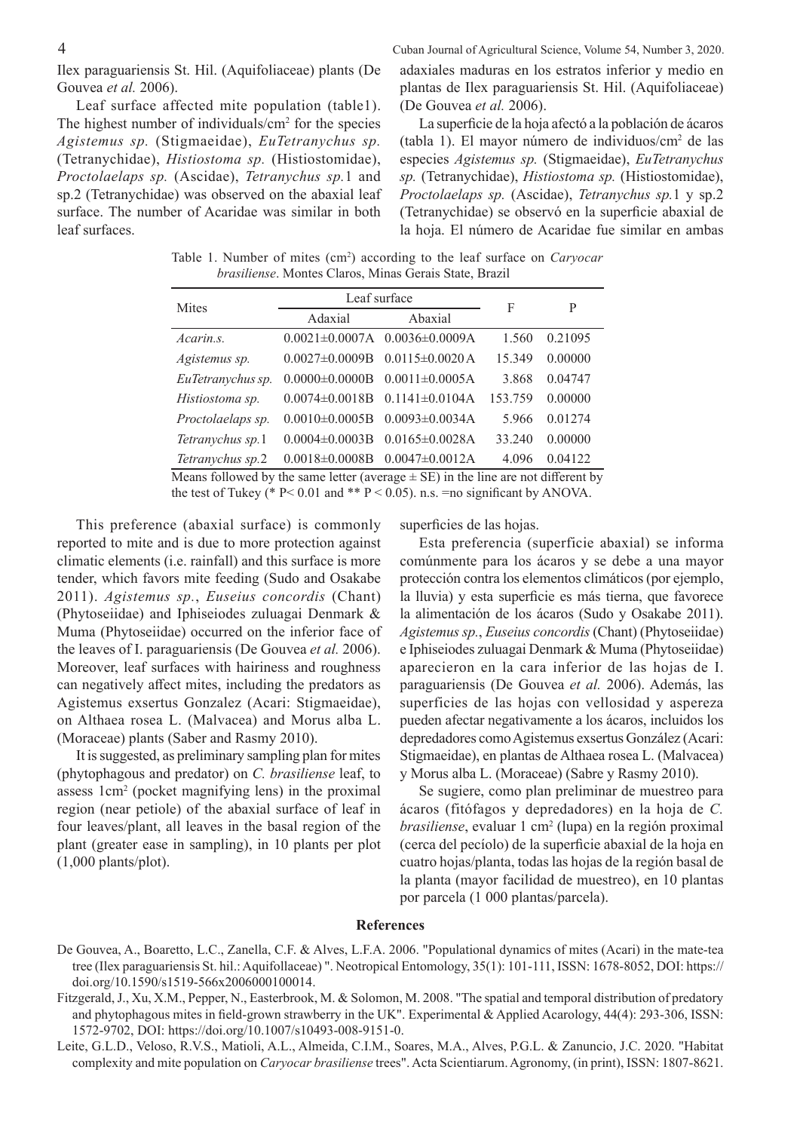Leaf surface affected mite population (table1). The highest number of individuals/ $\text{cm}^2$  for the species *Agistemus sp.* (Stigmaeidae), *EuTetranychus sp.* (Tetranychidae), *Histiostoma sp.* (Histiostomidae), *Proctolaelaps sp.* (Ascidae), *Tetranychus sp.*1 and sp.2 (Tetranychidae) was observed on the abaxial leaf surface. The number of Acaridae was similar in both leaf surfaces.

4 Cuban Journal of Agricultural Science, Volume 54, Number 3, 2020. adaxiales maduras en los estratos inferior y medio en plantas de Ilex paraguariensis St. Hil. (Aquifoliaceae) (De Gouvea *et al.* 2006).

> La superficie de la hoja afectó a la población de ácaros (tabla 1). El mayor número de individuos/cm2 de las especies *Agistemus sp.* (Stigmaeidae), *EuTetranychus sp.* (Tetranychidae), *Histiostoma sp.* (Histiostomidae), *Proctolaelaps sp.* (Ascidae), *Tetranychus sp.*1 y sp.2 (Tetranychidae) se observó en la superficie abaxial de la hoja. El número de Acaridae fue similar en ambas

Table 1. Number of mites (cm<sup>2</sup>) according to the leaf surface on *Caryocar brasiliense*. Montes Claros, Minas Gerais State, Brazil

| Leaf surface          |                       |                       | P       |
|-----------------------|-----------------------|-----------------------|---------|
| Adaxial               | Abaxial               |                       |         |
|                       | $0.0036 \pm 0.0009$ A | 1.560                 | 0.21095 |
| $0.0027 \pm 0.0009B$  | $0.0115 \pm 0.0020$ A | 15.349                | 0.00000 |
| $0.0000 \pm 0.0000B$  | $0.0011 \pm 0.0005$ A | 3.868                 | 0.04747 |
| $0.0074 \pm 0.0018B$  | $0.1141 \pm 0.0104A$  | 153.759               | 0.00000 |
| $0.0010\pm0.0005B$    | $0.0093 \pm 0.0034$ A | 5.966                 | 0.01274 |
| $0.0004 \pm 0.0003 B$ | $0.0165 \pm 0.0028$ A | 33.240                | 0.00000 |
| $0.0018 \pm 0.0008B$  | $0.0047 \pm 0.0012$ A | 4.096                 | 0.04122 |
|                       |                       | $0.0021 \pm 0.0007$ A | F       |

Means followed by the same letter (average  $\pm$  SE) in the line are not different by the test of Tukey (\*  $P < 0.01$  and \*\*  $P < 0.05$ ). n.s. =no significant by ANOVA.

This preference (abaxial surface) is commonly reported to mite and is due to more protection against climatic elements (i.e. rainfall) and this surface is more tender, which favors mite feeding (Sudo and Osakabe 2011). *Agistemus sp.*, *Euseius concordis* (Chant) (Phytoseiidae) and Iphiseiodes zuluagai Denmark & Muma (Phytoseiidae) occurred on the inferior face of the leaves of I. paraguariensis (De Gouvea *et al.* 2006). Moreover, leaf surfaces with hairiness and roughness can negatively affect mites, including the predators as Agistemus exsertus Gonzalez (Acari: Stigmaeidae), on Althaea rosea L. (Malvacea) and Morus alba L. (Moraceae) plants (Saber and Rasmy 2010).

It is suggested, as preliminary sampling plan for mites (phytophagous and predator) on *C. brasiliense* leaf, to assess 1cm2 (pocket magnifying lens) in the proximal region (near petiole) of the abaxial surface of leaf in four leaves/plant, all leaves in the basal region of the plant (greater ease in sampling), in 10 plants per plot (1,000 plants/plot).

superficies de las hojas.

Esta preferencia (superficie abaxial) se informa comúnmente para los ácaros y se debe a una mayor protección contra los elementos climáticos (por ejemplo, la lluvia) y esta superficie es más tierna, que favorece la alimentación de los ácaros (Sudo y Osakabe 2011). *Agistemus sp.*, *Euseius concordis* (Chant) (Phytoseiidae) e Iphiseiodes zuluagai Denmark & Muma (Phytoseiidae) aparecieron en la cara inferior de las hojas de I. paraguariensis (De Gouvea *et al.* 2006). Además, las superficies de las hojas con vellosidad y aspereza pueden afectar negativamente a los ácaros, incluidos los depredadores como Agistemus exsertus González (Acari: Stigmaeidae), en plantas de Althaea rosea L. (Malvacea) y Morus alba L. (Moraceae) (Sabre y Rasmy 2010).

Se sugiere, como plan preliminar de muestreo para ácaros (fitófagos y depredadores) en la hoja de *C. brasiliense*, evaluar 1 cm<sup>2</sup> (lupa) en la región proximal (cerca del pecíolo) de la superficie abaxial de la hoja en cuatro hojas/planta, todas las hojas de la región basal de la planta (mayor facilidad de muestreo), en 10 plantas por parcela (1 000 plantas/parcela).

## **References**

- De Gouvea, A., Boaretto, L.C., Zanella, C.F. & Alves, L.F.A. 2006. "Populational dynamics of mites (Acari) in the mate-tea tree (Ilex paraguariensis St. hil.: Aquifollaceae) ". Neotropical Entomology, 35(1): 101-111, ISSN: 1678-8052, DOI: https:// doi.org/10.1590/s1519-566x2006000100014.
- Fitzgerald, J., Xu, X.M., Pepper, N., Easterbrook, M. & Solomon, M. 2008. "The spatial and temporal distribution of predatory and phytophagous mites in field-grown strawberry in the UK". Experimental & Applied Acarology, 44(4): 293-306, ISSN: 1572-9702, DOI: https://doi.org/10.1007/s10493-008-9151-0.
- Leite, G.L.D., Veloso, R.V.S., Matioli, A.L., Almeida, C.I.M., Soares, M.A., Alves, P.G.L. & Zanuncio, J.C. 2020. "Habitat complexity and mite population on *Caryocar brasiliense* trees". Acta Scientiarum. Agronomy, (in print), ISSN: 1807-8621.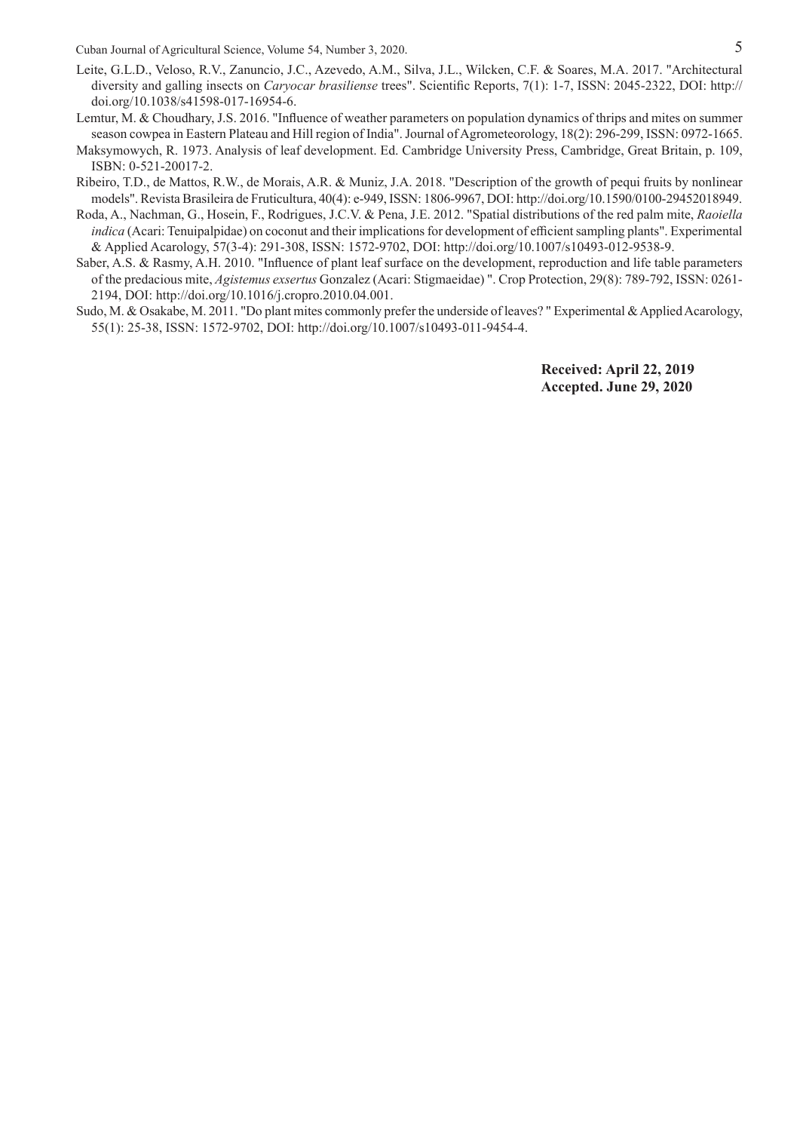- Leite, G.L.D., Veloso, R.V., Zanuncio, J.C., Azevedo, A.M., Silva, J.L., Wilcken, C.F. & Soares, M.A. 2017. "Architectural diversity and galling insects on *Caryocar brasiliense* trees". Scientific Reports, 7(1): 1-7, ISSN: 2045-2322, DOI: http:// doi.org/10.1038/s41598-017-16954-6.
- Lemtur, M. & Choudhary, J.S. 2016. "Influence of weather parameters on population dynamics of thrips and mites on summer season cowpea in Eastern Plateau and Hill region of India". Journal of Agrometeorology, 18(2): 296-299, ISSN: 0972-1665.
- Maksymowych, R. 1973. Analysis of leaf development. Ed. Cambridge University Press, Cambridge, Great Britain, p. 109, ISBN: 0-521-20017-2.
- Ribeiro, T.D., de Mattos, R.W., de Morais, A.R. & Muniz, J.A. 2018. "Description of the growth of pequi fruits by nonlinear models". Revista Brasileira de Fruticultura, 40(4): e-949, ISSN: 1806-9967, DOI: http://doi.org/10.1590/0100-29452018949.
- Roda, A., Nachman, G., Hosein, F., Rodrigues, J.C.V. & Pena, J.E. 2012. "Spatial distributions of the red palm mite, *Raoiella indica* (Acari: Tenuipalpidae) on coconut and their implications for development of efficient sampling plants". Experimental & Applied Acarology, 57(3-4): 291-308, ISSN: 1572-9702, DOI: http://doi.org/10.1007/s10493-012-9538-9.
- Saber, A.S. & Rasmy, A.H. 2010. "Influence of plant leaf surface on the development, reproduction and life table parameters of the predacious mite, *Agistemus exsertus* Gonzalez (Acari: Stigmaeidae) ". Crop Protection, 29(8): 789-792, ISSN: 0261- 2194, DOI: http://doi.org/10.1016/j.cropro.2010.04.001.
- Sudo, M. & Osakabe, M. 2011. "Do plant mites commonly prefer the underside of leaves? " Experimental & Applied Acarology, 55(1): 25-38, ISSN: 1572-9702, DOI: http://doi.org/10.1007/s10493-011-9454-4.

**Received: April 22, 2019 Accepted. June 29, 2020**